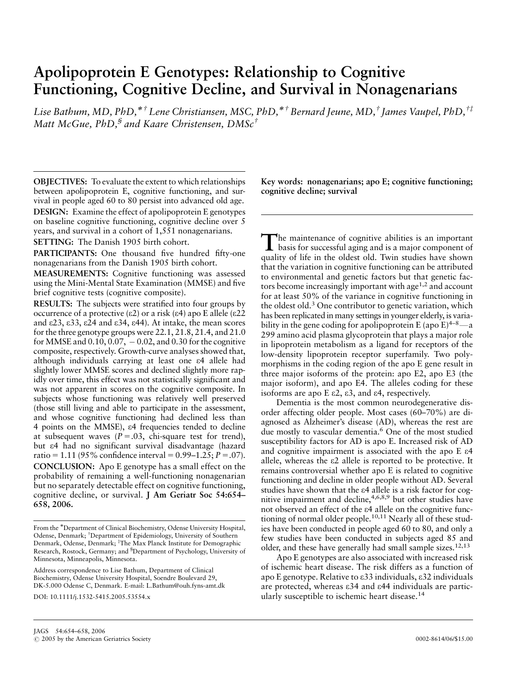# Apolipoprotein E Genotypes: Relationship to Cognitive Functioning, Cognitive Decline, and Survival in Nonagenarians

Lise Bathum, MD, PhD,  $*^{\dagger}$  Lene Christiansen, MSC, PhD,  $*^{\dagger}$  Bernard Jeune, MD,  $*$  James Vaupel, PhD,  $*^{\dagger}$ Matt McGue, PhD,<sup>§</sup> and Kaare Christensen, DMSc<sup>†</sup>

OBJECTIVES: To evaluate the extent to which relationships between apolipoprotein E, cognitive functioning, and survival in people aged 60 to 80 persist into advanced old age.

DESIGN: Examine the effect of apolipoprotein E genotypes on baseline cognitive functioning, cognitive decline over 5 years, and survival in a cohort of 1,551 nonagenarians. SETTING: The Danish 1905 birth cohort.

PARTICIPANTS: One thousand five hundred fifty-one nonagenarians from the Danish 1905 birth cohort.

MEASUREMENTS: Cognitive functioning was assessed using the Mini-Mental State Examination (MMSE) and five brief cognitive tests (cognitive composite).

RESULTS: The subjects were stratified into four groups by occurrence of a protective ( $\epsilon$ 2) or a risk ( $\epsilon$ 4) apo E allele ( $\epsilon$ 22 and e23, e33, e24 and e34, e44). At intake, the mean scores for the three genotype groups were 22.1, 21.8, 21.4, and 21.0 for MMSE and  $0.10, 0.07, -0.02$ , and  $0.30$  for the cognitive composite, respectively. Growth-curve analyses showed that, although individuals carrying at least one e4 allele had slightly lower MMSE scores and declined slightly more rapidly over time, this effect was not statistically significant and was not apparent in scores on the cognitive composite. In subjects whose functioning was relatively well preserved (those still living and able to participate in the assessment, and whose cognitive functioning had declined less than 4 points on the MMSE), e4 frequencies tended to decline at subsequent waves  $(P = .03, \text{ chi-square test for trend}),$ but e4 had no significant survival disadvantage (hazard ratio = 1.11 (95% confidence interval =  $0.99-1.25$ ;  $P = .07$ ). CONCLUSION: Apo E genotype has a small effect on the probability of remaining a well-functioning nonagenarian but no separately detectable effect on cognitive functioning, cognitive decline, or survival. J Am Geriatr Soc 54:654– 658, 2006.

Address correspondence to Lise Bathum, Department of Clinical Biochemistry, Odense University Hospital, Soendre Boulevard 29, DK-5.000 Odense C, Denmark. E-mail: L.Bathum@ouh.fyns-amt.dk DOI: 10.1111/j.1532-5415.2005.53554.x

Key words: nonagenarians; apo E; cognitive functioning; cognitive decline; survival

The maintenance of cognitive abilities is an important<br>basis for successful aging and is a major component of quality of life in the oldest old. Twin studies have shown that the variation in cognitive functioning can be attributed to environmental and genetic factors but that genetic factors become increasingly important with age<sup> $1,2$ </sup> and account for at least 50% of the variance in cognitive functioning in the oldest old.3 One contributor to genetic variation, which has been replicated in many settings in younger elderly, is variability in the gene coding for apolipoprotein E (apo E)<sup>4-8</sup> $-$ a 299 amino acid plasma glycoprotein that plays a major role in lipoprotein metabolism as a ligand for receptors of the low-density lipoprotein receptor superfamily. Two polymorphisms in the coding region of the apo E gene result in three major isoforms of the protein: apo E2, apo E3 (the major isoform), and apo E4. The alleles coding for these isoforms are apo  $E \varepsilon 2$ ,  $\varepsilon 3$ , and  $\varepsilon 4$ , respectively.

Dementia is the most common neurodegenerative disorder affecting older people. Most cases (60–70%) are diagnosed as Alzheimer's disease (AD), whereas the rest are due mostly to vascular dementia.<sup>6</sup> One of the most studied susceptibility factors for AD is apo E. Increased risk of AD and cognitive impairment is associated with the apo E e4 allele, whereas the e2 allele is reported to be protective. It remains controversial whether apo E is related to cognitive functioning and decline in older people without AD. Several studies have shown that the e4 allele is a risk factor for cognitive impairment and decline,<sup>4,6,8,9</sup> but other studies have not observed an effect of the e4 allele on the cognitive functioning of normal older people.<sup>10,11</sup> Nearly all of these studies have been conducted in people aged 60 to 80, and only a few studies have been conducted in subjects aged 85 and older, and these have generally had small sample sizes.<sup>12,13</sup>

Apo E genotypes are also associated with increased risk of ischemic heart disease. The risk differs as a function of apo E genotype. Relative to e33 individuals, e32 individuals are protected, whereas e34 and e44 individuals are particularly susceptible to ischemic heart disease.<sup>14</sup>

From the Department of Clinical Biochemistry, Odense University Hospital, Odense, Denmark; <sup>T</sup>Department of Epidemiology, University of Southern Denmark, Odense, Denmark; <sup>‡</sup>The Max Planck Institute for Demographic Research, Rostock, Germany; and <sup>§</sup>Department of Psychology, University of Minnesota, Minneapolis, Minnesota.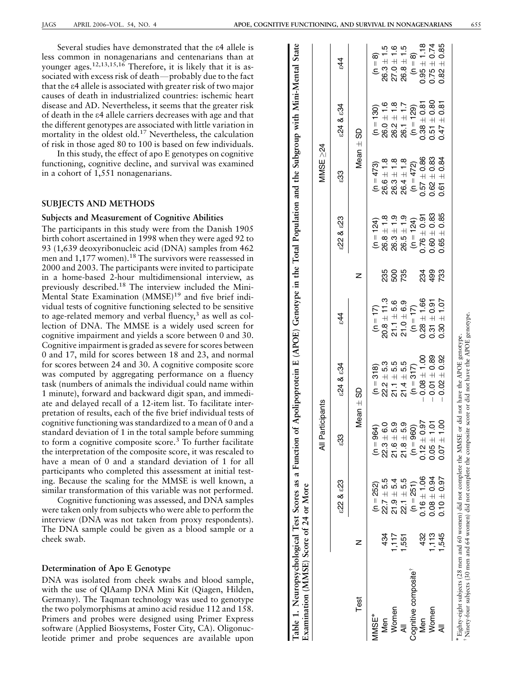Several studies have demonstrated that the e4 allele is less common in nonagenarians and centenarians than at younger ages.<sup>12,13,15,16</sup> Therefore, it is likely that it is associated with excess risk of death—probably due to the fact that the e4 allele is associated with greater risk of two major causes of death in industrialized countries: ischemic heart disease and AD. Nevertheless, it seems that the greater risk of death in the e4 allele carriers decreases with age and that the different genotypes are associated with little variation in mortality in the oldest old.17 Nevertheless, the calculation of risk in those aged 80 to 100 is based on few individuals.

In this study, the effect of apo E genotypes on cognitive functioning, cognitive decline, and survival was examined in a cohort of 1,551 nonagenarians.

# SUBJECTS AND METHODS

#### Subjects and Measurement of Cognitive Abilities

The participants in this study were from the Danish 1905 birth cohort ascertained in 1998 when they were aged 92 to 93 (1,639 deoxyribonucleic acid (DNA) samples from 462 men and 1,177 women).<sup>18</sup> The survivors were reassessed in 2000 and 2003. The participants were invited to participate in a home-based 2-hour multidimensional interview, as previously described.<sup>18</sup> The interview included the Mini-Mental State Examination (MMSE)<sup>19</sup> and five brief individual tests of cognitive functioning selected to be sensitive to age-related memory and verbal fluency, $3$  as well as collection of DNA. The MMSE is a widely used screen for cognitive impairment and yields a score between 0 and 30. Cognitive impairment is graded as severe for scores between 0 and 17, mild for scores between 18 and 23, and normal for scores between 24 and 30. A cognitive composite score was computed by aggregating performance on a fluency task (numbers of animals the individual could name within 1 minute), forward and backward digit span, and immediate and delayed recall of a 12-item list. To facilitate interpretation of results, each of the five brief individual tests of cognitive functioning was standardized to a mean of 0 and a standard deviation of 1 in the total sample before summing to form a cognitive composite score.<sup>3</sup> To further facilitate the interpretation of the composite score, it was rescaled to have a mean of 0 and a standard deviation of 1 for all participants who completed this assessment at initial testing. Because the scaling for the MMSE is well known, a similar transformation of this variable was not performed.

Cognitive functioning was assessed, and DNA samples were taken only from subjects who were able to perform the interview (DNA was not taken from proxy respondents). The DNA sample could be given as a blood sample or a cheek swab.

# Determination of Apo E Genotype

DNA was isolated from cheek swabs and blood sample, with the use of QIAamp DNA Mini Kit (Qiagen, Hilden, Germany). The Taqman technology was used to genotype the two polymorphisms at amino acid residue 112 and 158. Primers and probes were designed using Primer Express software (Applied Biosystems, Foster City, CA). Oligonucleotide primer and probe sequences are available upon

| Table 1. Neuropsychological Test Scores as a Function of Apolipoprotein E (APOE) Genotype in the Total Population and the Subgroup with Mini-Mental State<br>Examination (MMSE) Score of 24 or More                              |       |                 |                                 |                  |                 |                      |                      |                 |                 |                 |
|----------------------------------------------------------------------------------------------------------------------------------------------------------------------------------------------------------------------------------|-------|-----------------|---------------------------------|------------------|-----------------|----------------------|----------------------|-----------------|-----------------|-----------------|
|                                                                                                                                                                                                                                  |       |                 | All Participants                |                  |                 |                      |                      | MMSE $\geq$ 24  |                 |                 |
|                                                                                                                                                                                                                                  |       | £22 & £23       | ౘౢ                              | £24 & £34        | $\hat{4}$       |                      | <b>EZ2 &amp; EZ3</b> | ౘౢ              | £24 & £34       | र्द             |
| Test                                                                                                                                                                                                                             |       |                 |                                 | Mean $\pm$ SD    |                 |                      |                      | Mean ±          | 8               |                 |
| MMSE <sup>*</sup>                                                                                                                                                                                                                |       | $(n = 252)$     | $(n = 964)$                     | $(n = 318)$      | $(n = 17)$      |                      | $(n = 124)$          | $(n = 473)$     | $(n = 130)$     | $(n = 8)$       |
| Men                                                                                                                                                                                                                              | 434   | $22.7 \pm 5.5$  | $\ddot{\circ}$<br>$22.3 + 6$    | $22.2 + 5.3$     | $20.8 \pm 11.3$ | 235                  | $26.8 \pm 1.8$       | $26.6 \pm 1.8$  | $26.0 \pm 1.6$  | $26.3 \pm 1.5$  |
| Women                                                                                                                                                                                                                            | 717   | $21.9 + 5.4$    | ق<br>$21.6 \pm 5$               | $21.1 + 5.5$     | $21.1 + 5.6$    | 500                  | $26.3 \pm 1.9$       | $26.3 \pm 1.8$  | $26.2 \pm 1.8$  | $27.0 \pm 1.6$  |
|                                                                                                                                                                                                                                  | .551  | $22.1 + 5.5$    | ာ့<br>$21.8 + 5$                | $21.4 + 5.5$     | $21.0 + 6.9$    | 735                  | $26.5 \pm 1.9$       | $26.4 \pm 1.8$  | $26.1 \pm 1.7$  | $26.8 \pm 1.5$  |
| Cognitive composite <sup>®</sup>                                                                                                                                                                                                 |       | $(n = 251)$     | $(n = 960)$                     | $(n = 317)$      | $(n = 17)$      |                      | $(n = 124)$          | $(n = 472)$     | $(n = 129)$     | $(n = 8)$       |
| Men                                                                                                                                                                                                                              | 432   | $0.16 \pm 1.06$ | 6<br>$0.12 \pm 0.$              | $0.08 \pm 1.00$  | $0.28 \pm 1.66$ |                      | $0.76 \pm 0.91$      | $0.57 \pm 0.86$ | $0.38 \pm 0.81$ | $0.95 \pm 1.18$ |
| Women                                                                                                                                                                                                                            | 1,113 | $0.08 \pm 0.94$ | $\overline{5}$<br>$0.05 \pm 1.$ | $-0.01 \pm 0.89$ | $0.31 + 0.91$   | 20<br>20<br>20<br>20 | $0.60 + 0.83$        | $0.62 \pm 0.83$ | $0.51 \pm 0.80$ | $0.75 \pm 0.74$ |
|                                                                                                                                                                                                                                  | 1,545 | $0.10 \pm 0.97$ | S<br>$0.07 \pm 1$               | $0.02 \pm 0.92$  | $0.30 \pm 1.07$ |                      | $0.65 \pm 0.85$      | $0.61 \pm 0.84$ | $0.47 \pm 0.81$ | $0.82 \pm 0.85$ |
| Ninety-four subjects (30 men and 64 women) did not complete the composite score or did not have the APOE genotype.<br>* Eighty-eight subjects (28 men and 60 women) did not complete the MMSE or did not have the APOE genotype. |       |                 |                                 |                  |                 |                      |                      |                 |                 |                 |
|                                                                                                                                                                                                                                  |       |                 |                                 |                  |                 |                      |                      |                 |                 |                 |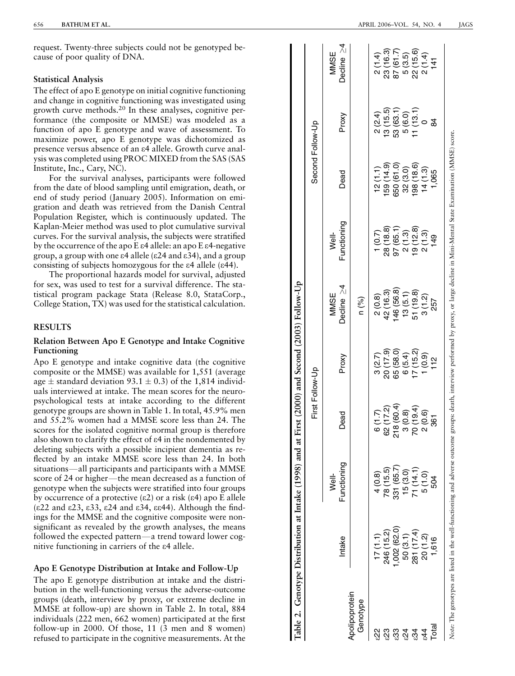request. Twenty-three subjects could not be genotyped because of poor quality of DNA.

#### Statistical Analysis

The effect of apo E genotype on initial cognitive functioning and change in cognitive functioning was investigated using growth curve methods.<sup>20</sup> In these analyses, cognitive performance (the composite or MMSE) was modeled as a function of apo E genotype and wave of assessment. To maximize power, apo E genotype was dichotomized as presence versus absence of an e4 allele. Growth curve analysis was completed using PROC MIXED from the SAS (SAS Institute, Inc., Cary, NC).

For the survival analyses, participants were followed from the date of blood sampling until emigration, death, or end of study period (January 2005). Information on emigration and death was retrieved from the Danish Central Population Register, which is continuously updated. The Kaplan-Meier method was used to plot cumulative survival curves. For the survival analysis, the subjects were stratified by the occurrence of the apo E e4 allele: an apo E e4-negative group, a group with one  $\varepsilon$ 4 allele ( $\varepsilon$ 24 and  $\varepsilon$ 34), and a group consisting of subjects homozygous for the e4 allele (e44).

The proportional hazards model for survival, adjusted for sex, was used to test for a survival difference. The statistical program package Stata (Release 8.0, StataCorp., College Station, TX) was used for the statistical calculation.

# RESULTS

## Relation Between Apo E Genotype and Intake Cognitive Functioning

Apo E genotype and intake cognitive data (the cognitive composite or the MMSE) was available for 1,551 (average age  $\pm$  standard deviation 93.1  $\pm$  0.3) of the 1,814 individuals interviewed at intake. The mean scores for the neuropsychological tests at intake according to the different genotype groups are shown in Table 1. In total, 45.9% men and 55.2% women had a MMSE score less than 24. The scores for the isolated cognitive normal group is therefore also shown to clarify the effect of e4 in the nondemented by deleting subjects with a possible incipient dementia as reflected by an intake MMSE score less than 24. In both situations—all participants and participants with a MMSE score of 24 or higher—the mean decreased as a function of genotype when the subjects were stratified into four groups by occurrence of a protective  $(\epsilon 2)$  or a risk  $(\epsilon 4)$  apo E allele  $(\epsilon 22 \text{ and } \epsilon 23, \epsilon 33, \epsilon 24 \text{ and } \epsilon 34, \epsilon 44)$ . Although the findings for the MMSE and the cognitive composite were nonsignificant as revealed by the growth analyses, the means followed the expected pattern-a trend toward lower cognitive functioning in carriers of the e4 allele.

# Apo E Genotype Distribution at Intake and Follow-Up

The apo E genotype distribution at intake and the distribution in the well-functioning versus the adverse-outcome groups (death, interview by proxy, or extreme decline in MMSE at follow-up) are shown in Table 2. In total, 884 individuals (222 men, 662 women) participated at the first follow-up in 2000. Of those, 11 (3 men and 8 women) refused to participate in the cognitive measurements. At the

|                            |                                                                                                                                                                                         |                     | First Follow-Up          |           |                    |                      | Second Follow-Up |                           |                          |
|----------------------------|-----------------------------------------------------------------------------------------------------------------------------------------------------------------------------------------|---------------------|--------------------------|-----------|--------------------|----------------------|------------------|---------------------------|--------------------------|
|                            | Intake                                                                                                                                                                                  | Functioning<br>Ne∥- | Dead                     | Proxy     | Decline ≥4<br>MMSE | Functioning<br>Well- | Dead             | Proxy                     | Decline $\geq 4$<br>MMSE |
| Apolipoprotein<br>Genotype |                                                                                                                                                                                         |                     |                          |           | n (%)              |                      |                  |                           |                          |
| လ္လ                        | 17(1.1)                                                                                                                                                                                 | 4(0.8)              | (1.7)                    | 3(2.7)    | 2(0.8)             | 1(0.7)               | 12(1.1)          | 2(2.4)                    | 2(1.4)                   |
| ನೆ                         | 246 (15.2)                                                                                                                                                                              | 78 (15.5)           | (17.2)<br>8              | 20 (17.9) | 42 (16.3)          | 28 (18.8)            | 59 (14.9)        | 13(15.5)                  | 23 (16.3)                |
| ಔ                          | 002(62.0)                                                                                                                                                                               | 331 (65.7)          | 218 (60.4)               | 65 (58.0) | 146 (56.8)         | 97 (65.1             | 650 (61.0)       | 53 (63.1)                 | 87(61.7)                 |
| ेंद्र                      | 50(3.1)                                                                                                                                                                                 | 15(3.0)             |                          | 6(5.4)    | 13(5.1)            | 2(1.3)               | 32(3.0)          |                           | 5(3.5)                   |
| રે                         | 281 (17.4)                                                                                                                                                                              | 71 (14.1)           | $(0.8)$<br>$(19.4)$<br>5 | 17(15.2)  | 51 (19.8)          | 19(12.8)             | (18.6)           | $\frac{5(6.0)}{11(13.1)}$ | 22(15.6)                 |
|                            | 20 (1.2)                                                                                                                                                                                | 5(1.0)              | (0.6)                    | (0.9)     | 3(1.2)             | 2(1.3)               | 14(1.3)          |                           | 2(1.4)                   |
| Total                      | 1,616                                                                                                                                                                                   | 504                 | 361                      | 112       | 257                | 149                  | 1,065            | ಹ                         | $\frac{4}{1}$            |
|                            | Note: The genotypes are listed in the well-functioning and adverse outcome groups: death, interview performed by proxy, or large decline in Mini-Mental State Examination (MMSE) score. |                     |                          |           |                    |                      |                  |                           |                          |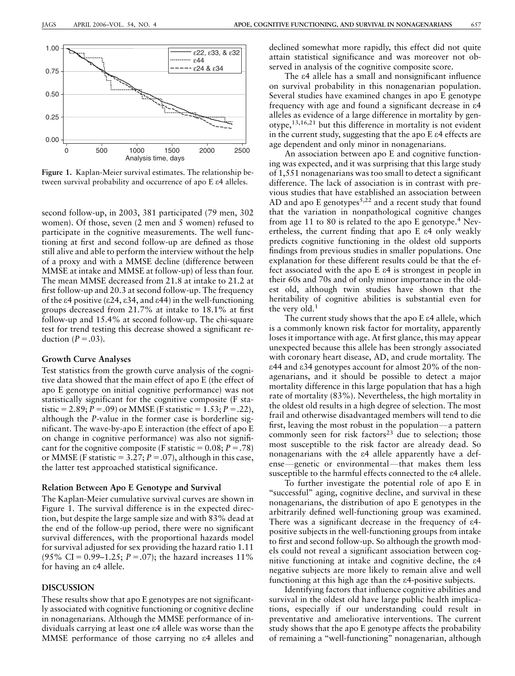

Figure 1. Kaplan-Meier survival estimates. The relationship between survival probability and occurrence of apo E e4 alleles.

second follow-up, in 2003, 381 participated (79 men, 302 women). Of those, seven (2 men and 5 women) refused to participate in the cognitive measurements. The well functioning at first and second follow-up are defined as those still alive and able to perform the interview without the help of a proxy and with a MMSE decline (difference between MMSE at intake and MMSE at follow-up) of less than four. The mean MMSE decreased from 21.8 at intake to 21.2 at first follow-up and 20.3 at second follow-up. The frequency of the  $\varepsilon$ 4 positive ( $\varepsilon$ 24,  $\varepsilon$ 34, and  $\varepsilon$ 44) in the well-functioning groups decreased from 21.7% at intake to 18.1% at first follow-up and 15.4% at second follow-up. The chi-square test for trend testing this decrease showed a significant reduction  $(P=.03)$ .

#### Growth Curve Analyses

Test statistics from the growth curve analysis of the cognitive data showed that the main effect of apo E (the effect of apo E genotype on initial cognitive performance) was not statistically significant for the cognitive composite (F statistic = 2.89; P = .09) or MMSE (F statistic = 1.53; P = .22), although the P-value in the former case is borderline significant. The wave-by-apo E interaction (the effect of apo E on change in cognitive performance) was also not significant for the cognitive composite (F statistic =  $0.08$ ;  $P = .78$ ) or MMSE (F statistic = 3.27;  $P = .07$ ), although in this case, the latter test approached statistical significance.

#### Relation Between Apo E Genotype and Survival

The Kaplan-Meier cumulative survival curves are shown in Figure 1. The survival difference is in the expected direction, but despite the large sample size and with 83% dead at the end of the follow-up period, there were no significant survival differences, with the proportional hazards model for survival adjusted for sex providing the hazard ratio 1.11 (95% CI = 0.99–1.25;  $P = .07$ ); the hazard increases 11% for having an e4 allele.

# DISCUSSION

These results show that apo E genotypes are not significantly associated with cognitive functioning or cognitive decline in nonagenarians. Although the MMSE performance of individuals carrying at least one e4 allele was worse than the MMSE performance of those carrying no e4 alleles and declined somewhat more rapidly, this effect did not quite attain statistical significance and was moreover not observed in analysis of the cognitive composite score.

The e4 allele has a small and nonsignificant influence on survival probability in this nonagenarian population. Several studies have examined changes in apo E genotype frequency with age and found a significant decrease in e4 alleles as evidence of a large difference in mortality by genotype,13,16,21 but this difference in mortality is not evident in the current study, suggesting that the apo E e4 effects are age dependent and only minor in nonagenarians.

An association between apo E and cognitive functioning was expected, and it was surprising that this large study of 1,551 nonagenarians was too small to detect a significant difference. The lack of association is in contrast with previous studies that have established an association between AD and apo E genotypes<sup>5,22</sup> and a recent study that found that the variation in nonpathological cognitive changes from age 11 to 80 is related to the apo  $E$  genotype.<sup>4</sup> Nevertheless, the current finding that apo  $E \epsilon 4$  only weakly predicts cognitive functioning in the oldest old supports findings from previous studies in smaller populations. One explanation for these different results could be that the effect associated with the apo E e4 is strongest in people in their 60s and 70s and of only minor importance in the oldest old, although twin studies have shown that the heritability of cognitive abilities is substantial even for the very old.<sup>1</sup>

The current study shows that the apo  $E \epsilon 4$  allele, which is a commonly known risk factor for mortality, apparently loses it importance with age. At first glance, this may appear unexpected because this allele has been strongly associated with coronary heart disease, AD, and crude mortality. The e44 and e34 genotypes account for almost 20% of the nonagenarians, and it should be possible to detect a major mortality difference in this large population that has a high rate of mortality (83%). Nevertheless, the high mortality in the oldest old results in a high degree of selection. The most frail and otherwise disadvantaged members will tend to die first, leaving the most robust in the population—a pattern commonly seen for risk factors $2<sup>3</sup>$  due to selection; those most susceptible to the risk factor are already dead. So nonagenarians with the e4 allele apparently have a defense—genetic or environmental—that makes them less susceptible to the harmful effects connected to the  $\varepsilon$ 4 allele.

To further investigate the potential role of apo E in "successful" aging, cognitive decline, and survival in these nonagenarians, the distribution of apo E genotypes in the arbitrarily defined well-functioning group was examined. There was a significant decrease in the frequency of  $\varepsilon$ 4positive subjects in the well-functioning groups from intake to first and second follow-up. So although the growth models could not reveal a significant association between cognitive functioning at intake and cognitive decline, the e4 negative subjects are more likely to remain alive and well functioning at this high age than the e4-positive subjects.

Identifying factors that influence cognitive abilities and survival in the oldest old have large public health implications, especially if our understanding could result in preventative and ameliorative interventions. The current study shows that the apo E genotype affects the probability of remaining a ''well-functioning'' nonagenarian, although